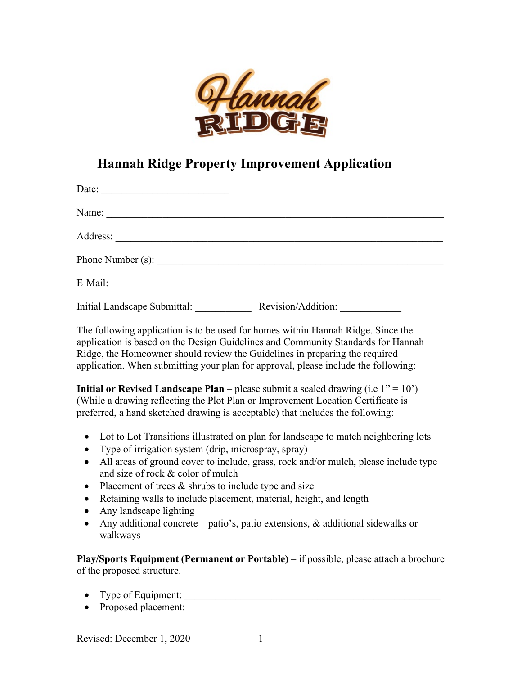

## **Hannah Ridge Property Improvement Application**

| Date:                                                                                                                           |                    |
|---------------------------------------------------------------------------------------------------------------------------------|--------------------|
| Name: $\frac{1}{\sqrt{1-\frac{1}{2}}\left(\frac{1}{2}-\frac{1}{2}\right)}$                                                      |                    |
|                                                                                                                                 |                    |
|                                                                                                                                 |                    |
| E-Mail:<br><u> 1980 - Andrea Station, amerikan bestean ingilang pada sebagai pada sebagai pada sebagai pada sebagai pada se</u> |                    |
| <b>Initial Landscape Submittal:</b>                                                                                             | Revision/Addition: |

The following application is to be used for homes within Hannah Ridge. Since the application is based on the Design Guidelines and Community Standards for Hannah Ridge, the Homeowner should review the Guidelines in preparing the required application. When submitting your plan for approval, please include the following:

**Initial or Revised Landscape Plan** – please submit a scaled drawing (i.e  $1'' = 10'$ ) (While a drawing reflecting the Plot Plan or Improvement Location Certificate is preferred, a hand sketched drawing is acceptable) that includes the following:

- Lot to Lot Transitions illustrated on plan for landscape to match neighboring lots
- Type of irrigation system (drip, microspray, spray)
- All areas of ground cover to include, grass, rock and/or mulch, please include type and size of rock & color of mulch
- Placement of trees & shrubs to include type and size
- Retaining walls to include placement, material, height, and length
- Any landscape lighting
- Any additional concrete patio's, patio extensions, & additional sidewalks or walkways

**Play/Sports Equipment (Permanent or Portable)** – if possible, please attach a brochure of the proposed structure.

- Type of Equipment: \_\_\_\_\_\_\_\_\_\_\_\_\_\_\_\_\_\_\_\_\_\_\_\_\_\_\_\_\_\_\_\_\_\_\_\_\_\_\_\_\_\_\_\_\_\_\_\_\_\_
- Proposed placement: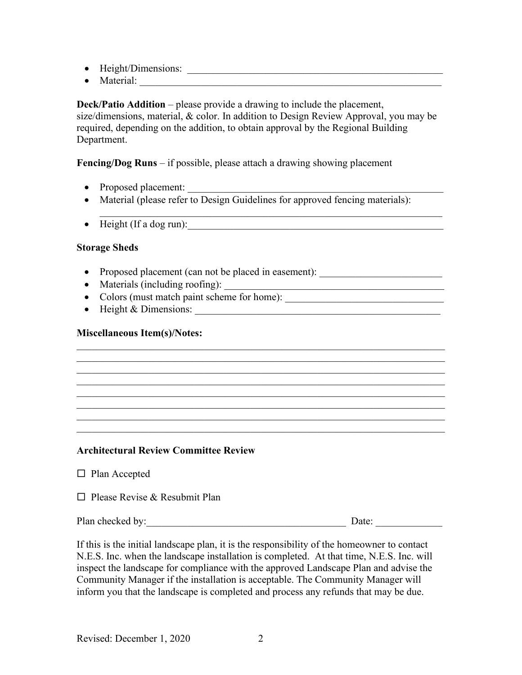- Height/Dimensions: \_\_\_\_\_\_\_\_\_\_\_\_\_\_\_\_\_\_\_\_\_\_\_\_\_\_\_\_\_\_\_\_\_\_\_\_\_\_\_\_\_\_\_\_\_\_\_\_\_\_
- Material:

**Deck/Patio Addition** – please provide a drawing to include the placement, size/dimensions, material, & color. In addition to Design Review Approval, you may be required, depending on the addition, to obtain approval by the Regional Building Department.

**Fencing/Dog Runs** – if possible, please attach a drawing showing placement

- Proposed placement:
- Material (please refer to Design Guidelines for approved fencing materials):

 $\mathcal{L}_\mathcal{L} = \mathcal{L}_\mathcal{L} = \mathcal{L}_\mathcal{L} = \mathcal{L}_\mathcal{L} = \mathcal{L}_\mathcal{L} = \mathcal{L}_\mathcal{L} = \mathcal{L}_\mathcal{L} = \mathcal{L}_\mathcal{L} = \mathcal{L}_\mathcal{L} = \mathcal{L}_\mathcal{L} = \mathcal{L}_\mathcal{L} = \mathcal{L}_\mathcal{L} = \mathcal{L}_\mathcal{L} = \mathcal{L}_\mathcal{L} = \mathcal{L}_\mathcal{L} = \mathcal{L}_\mathcal{L} = \mathcal{L}_\mathcal{L}$ 

• Height (If a dog run):

## **Storage Sheds**

- Proposed placement (can not be placed in easement): \_\_\_\_\_\_\_\_\_\_\_\_\_\_\_\_\_\_\_\_\_\_\_\_\_\_
- Materials (including roofing): \_\_\_\_\_\_\_\_\_\_\_\_\_\_\_\_\_\_\_\_\_\_\_\_\_\_\_\_\_\_\_\_\_\_\_\_\_\_\_\_\_\_\_
- Colors (must match paint scheme for home):
- Height & Dimensions:

## **Miscellaneous Item(s)/Notes:**

## **Architectural Review Committee Review**

 $\Box$  Please Revise & Resubmit Plan

| Plan checked by: | Jate |
|------------------|------|
|                  |      |

 $\mathcal{L}_\text{max} = \mathcal{L}_\text{max} = \mathcal{L}_\text{max} = \mathcal{L}_\text{max} = \mathcal{L}_\text{max} = \mathcal{L}_\text{max} = \mathcal{L}_\text{max} = \mathcal{L}_\text{max} = \mathcal{L}_\text{max} = \mathcal{L}_\text{max} = \mathcal{L}_\text{max} = \mathcal{L}_\text{max} = \mathcal{L}_\text{max} = \mathcal{L}_\text{max} = \mathcal{L}_\text{max} = \mathcal{L}_\text{max} = \mathcal{L}_\text{max} = \mathcal{L}_\text{max} = \mathcal{$ 

 $\mathcal{L}_\text{G}$  , and the contribution of the contribution of the contribution of the contribution of the contribution of the contribution of the contribution of the contribution of the contribution of the contribution of t

 $\mathcal{L}_\text{G}$  , and the contribution of the contribution of the contribution of the contribution of the contribution of the contribution of the contribution of the contribution of the contribution of the contribution of t  $\mathcal{L}_\text{max} = \mathcal{L}_\text{max} = \mathcal{L}_\text{max} = \mathcal{L}_\text{max} = \mathcal{L}_\text{max} = \mathcal{L}_\text{max} = \mathcal{L}_\text{max} = \mathcal{L}_\text{max} = \mathcal{L}_\text{max} = \mathcal{L}_\text{max} = \mathcal{L}_\text{max} = \mathcal{L}_\text{max} = \mathcal{L}_\text{max} = \mathcal{L}_\text{max} = \mathcal{L}_\text{max} = \mathcal{L}_\text{max} = \mathcal{L}_\text{max} = \mathcal{L}_\text{max} = \mathcal{$ 

 $\mathcal{L}_\text{G}$  , and the contribution of the contribution of the contribution of the contribution of the contribution of the contribution of the contribution of the contribution of the contribution of the contribution of t

If this is the initial landscape plan, it is the responsibility of the homeowner to contact N.E.S. Inc. when the landscape installation is completed. At that time, N.E.S. Inc. will inspect the landscape for compliance with the approved Landscape Plan and advise the Community Manager if the installation is acceptable. The Community Manager will inform you that the landscape is completed and process any refunds that may be due.